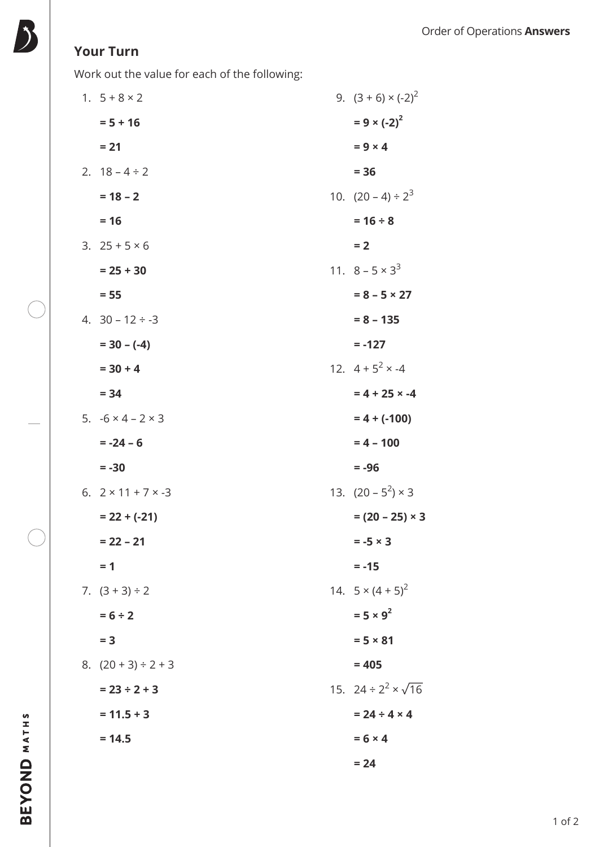## **Your Turn**

Work out the value for each of the following:

| 1. $5 + 8 \times 2$            | 9. $(3 + 6) \times (-2)^2$      |
|--------------------------------|---------------------------------|
| $= 5 + 16$                     | $= 9 \times (-2)^{2}$           |
| $= 21$                         | $= 9 \times 4$                  |
| 2. $18 - 4 \div 2$             | $= 36$                          |
| $= 18 - 2$                     | 10. $(20-4) \div 2^3$           |
| $= 16$                         | $= 16 \div 8$                   |
| 3. $25 + 5 \times 6$           | $= 2$                           |
| $= 25 + 30$                    | 11. $8 - 5 \times 3^3$          |
| $= 55$                         | $= 8 - 5 \times 27$             |
| 4. $30 - 12 \div -3$           | $= 8 - 135$                     |
| $= 30 - (-4)$                  | $= -127$                        |
| $= 30 + 4$                     | 12. $4 + 5^2 \times -4$         |
| $= 34$                         | $= 4 + 25 \times -4$            |
| 5. $-6 \times 4 - 2 \times 3$  | $= 4 + (-100)$                  |
| $= -24 - 6$                    | $= 4 - 100$                     |
| $= -30$                        | $= -96$                         |
| 6. $2 \times 11 + 7 \times -3$ | 13. $(20 - 5^2) \times 3$       |
| $= 22 + (-21)$                 | $= (20 - 25) \times 3$          |
| $= 22 - 21$                    | $= -5 \times 3$                 |
| $= 1$                          | $= -15$                         |
| 7. $(3 + 3) \div 2$            | 14. $5 \times (4 + 5)^2$        |
| $= 6 \div 2$                   | $= 5 \times 9^2$                |
| $= 3$                          | $= 5 × 81$                      |
| 8. $(20 + 3) \div 2 + 3$       | $= 405$                         |
| $= 23 \div 2 + 3$              | 15. 24 ÷ $2^2 \times \sqrt{16}$ |
| $= 11.5 + 3$                   | $= 24 \div 4 \times 4$          |
| $= 14.5$                       | $= 6 \times 4$                  |
|                                | $= 24$                          |